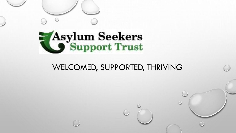

## WELCOMED, SUPPORTED, THRIVING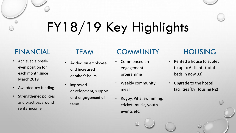# FY18/19 Key Highlights

## FINANCIAL

- Achieved a breakeven position for each month since March 2019
- Awarded key funding
- Strengthened policies and practices around rental income

## TEAM

- Added an employee and increased another's hours
- Improved development, support and engagement of team

#### **COMMUNITY**

- Commenced an engagement programme
- Weekly community meal
- Rugby, Piha, swimming, cricket, music, youth events etc.

## HOUSING

- Rented a house to sublet to up to 6 clients (total beds in now 33)
- Upgrade to the hostel facilities (by Housing NZ)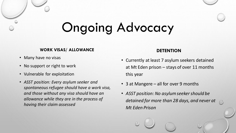## Ongoing Advocacy

#### **WORK VISAS/ ALLOWANCE**

- Many have no visas
- No support or right to work
- Vulnerable for exploitation
- *ASST position: Every asylum seeker and spontaneous refugee should have a work visa, and those without any visa should have an allowance while they are in the process of having their claim assessed*

#### **DETENTION**

- Currently at least 7 asylum seekers detained at Mt Eden prison – stays of over 11 months this year
- 3 at Mangere all for over 9 months
- *ASST position: No asylum seeker should be detained for more than 28 days, and never at Mt Eden Prison*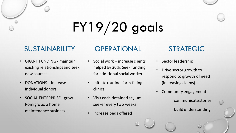# FY19/20 goals

#### SUSTAINABILITY

- GRANT FUNDING maintain existing relationships and seek new sources
- DONATIONS increase individual donors
- SOCIAL ENTERPRISE grow Romigro as a home maintenance business

## **OPERATIONAL**

- Social work increase clients helped by 20%. Seek funding for additional social worker
- Initiate routine 'form filling' clinics
- Visit each detained asylum seeker every two weeks
- Increase beds offered

### STRATEGIC

- Sector leadership
- Drive sector growth to respond to growth of need (increasing claims)
- Community engagement:
	- communicate stories build understanding